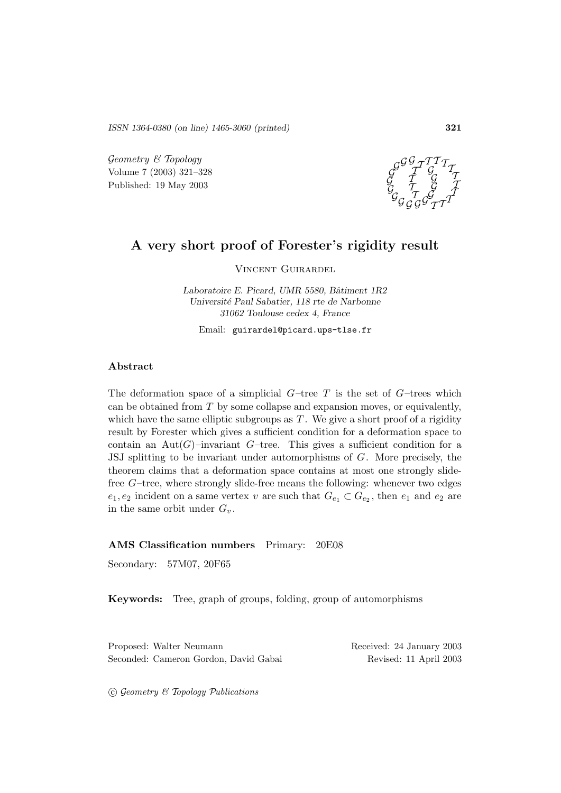*ISSN 1364-0380 (on line) 1465-3060 (printed)* **321**

 $Geometry \& Topology$ Volume 7 (2003) 321–328 Published: 19 May 2003



# **A very short proof of Forester's rigidity result**

Vincent Guirardel

Laboratoire E. Picard, UMR 5580, Bâtiment 1R2 *Universit´e Paul Sabatier, 118 rte de Narbonne 31062 Toulouse cedex 4, France*

Email: guirardel@picard.ups-tlse.fr

#### **Abstract**

The deformation space of a simplicial  $G$ –tree T is the set of  $G$ –trees which can be obtained from T by some collapse and expansion moves, or equivalently, which have the same elliptic subgroups as  $T$ . We give a short proof of a rigidity result by Forester which gives a sufficient condition for a deformation space to contain an Aut $(G)$ –invariant  $G$ –tree. This gives a sufficient condition for a JSJ splitting to be invariant under automorphisms of G. More precisely, the theorem claims that a deformation space contains at most one strongly slidefree  $G$ -tree, where strongly slide-free means the following: whenever two edges  $e_1, e_2$  incident on a same vertex v are such that  $G_{e_1} \subset G_{e_2}$ , then  $e_1$  and  $e_2$  are in the same orbit under  $G_v$ .

#### **AMS Classification numbers** Primary: 20E08

Secondary: 57M07, 20F65

**Keywords:** Tree, graph of groups, folding, group of automorphisms

Proposed: Walter Neumann Received: 24 January 2003 Seconded: Cameron Gordon, David Gabai Revised: 11 April 2003

 $\odot$  Geometry & Topology Publications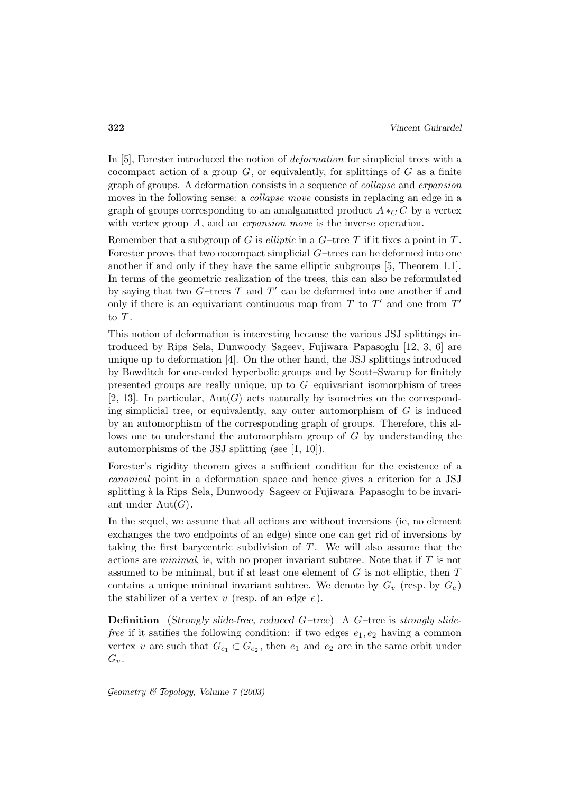In [5], Forester introduced the notion of *deformation* for simplicial trees with a cocompact action of a group  $G$ , or equivalently, for splittings of  $G$  as a finite graph of groups. A deformation consists in a sequence of collapse and expansion moves in the following sense: a *collapse move* consists in replacing an edge in a graph of groups corresponding to an amalgamated product  $A *_{\mathbb{C}} C$  by a vertex with vertex group A, and an *expansion move* is the inverse operation.

Remember that a subgroup of G is *elliptic* in a  $G$ -tree T if it fixes a point in T. Forester proves that two cocompact simplicial G–trees can be deformed into one another if and only if they have the same elliptic subgroups [5, Theorem 1.1]. In terms of the geometric realization of the trees, this can also be reformulated by saying that two  $G$ -trees  $T$  and  $T'$  can be deformed into one another if and only if there is an equivariant continuous map from T to T' and one from  $T'$ to  $T$ .

This notion of deformation is interesting because the various JSJ splittings introduced by Rips–Sela, Dunwoody–Sageev, Fujiwara–Papasoglu [12, 3, 6] are unique up to deformation [4]. On the other hand, the JSJ splittings introduced by Bowditch for one-ended hyperbolic groups and by Scott–Swarup for finitely presented groups are really unique, up to  $G$ –equivariant isomorphism of trees [2, 13]. In particular,  $Aut(G)$  acts naturally by isometries on the corresponding simplicial tree, or equivalently, any outer automorphism of  $G$  is induced by an automorphism of the corresponding graph of groups. Therefore, this allows one to understand the automorphism group of G by understanding the automorphisms of the JSJ splitting (see [1, 10]).

Forester's rigidity theorem gives a sufficient condition for the existence of a canonical point in a deformation space and hence gives a criterion for a JSJ splitting à la Rips–Sela, Dunwoody–Sageev or Fujiwara–Papasoglu to be invariant under  $Aut(G)$ .

In the sequel, we assume that all actions are without inversions (ie, no element exchanges the two endpoints of an edge) since one can get rid of inversions by taking the first barycentric subdivision of  $T$ . We will also assume that the actions are *minimal*, ie, with no proper invariant subtree. Note that if  $T$  is not assumed to be minimal, but if at least one element of  $G$  is not elliptic, then  $T$ contains a unique minimal invariant subtree. We denote by  $G_v$  (resp. by  $G_e$ ) the stabilizer of a vertex  $v$  (resp. of an edge  $e$ ).

**Definition** (*Strongly slide-free, reduced* G*–tree*) A G–tree is strongly slide*free* if it satifies the following condition: if two edges  $e_1, e_2$  having a common vertex v are such that  $G_{e_1} \subset G_{e_2}$ , then  $e_1$  and  $e_2$  are in the same orbit under  $G_v$ .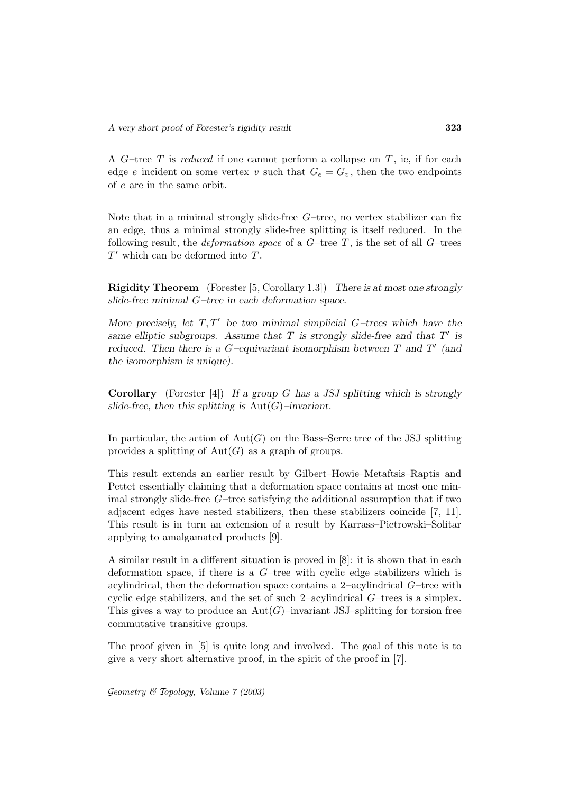A  $G$ -tree  $T$  is *reduced* if one cannot perform a collapse on  $T$ , ie, if for each edge e incident on some vertex v such that  $G_e = G_v$ , then the two endpoints of e are in the same orbit.

Note that in a minimal strongly slide-free  $G$ -tree, no vertex stabilizer can fix an edge, thus a minimal strongly slide-free splitting is itself reduced. In the following result, the *deformation space* of a  $G$ -tree  $T$ , is the set of all  $G$ -trees  $T'$  which can be deformed into  $T$ .

**Rigidity Theorem** (Forester [5, Corollary 1.3]) *There is at most one strongly slide-free minimal* G*–tree in each deformation space.*

*More precisely, let*  $T, T'$  *be two minimal simplicial*  $G$ –trees which have the *same elliptic subgroups.* Assume that  $T$  *is strongly slide-free and that*  $T'$  *is reduced.* Then there is a  $G$ -equivariant isomorphism between  $T$  and  $T'$  (and *the isomorphism is unique).*

**Corollary** (Forester [4]) *If a group* G *has a JSJ splitting which is strongly slide-free, then this splitting is* Aut(G)*–invariant.*

In particular, the action of  $Aut(G)$  on the Bass–Serre tree of the JSJ splitting provides a splitting of  $Aut(G)$  as a graph of groups.

This result extends an earlier result by Gilbert–Howie–Metaftsis–Raptis and Pettet essentially claiming that a deformation space contains at most one minimal strongly slide-free G–tree satisfying the additional assumption that if two adjacent edges have nested stabilizers, then these stabilizers coincide [7, 11]. This result is in turn an extension of a result by Karrass–Pietrowski–Solitar applying to amalgamated products [9].

A similar result in a different situation is proved in [8]: it is shown that in each deformation space, if there is a G–tree with cyclic edge stabilizers which is acylindrical, then the deformation space contains a  $2$ –acylindrical  $G$ –tree with cyclic edge stabilizers, and the set of such 2–acylindrical G–trees is a simplex. This gives a way to produce an  $Aut(G)$ –invariant JSJ–splitting for torsion free commutative transitive groups.

The proof given in [5] is quite long and involved. The goal of this note is to give a very short alternative proof, in the spirit of the proof in [7].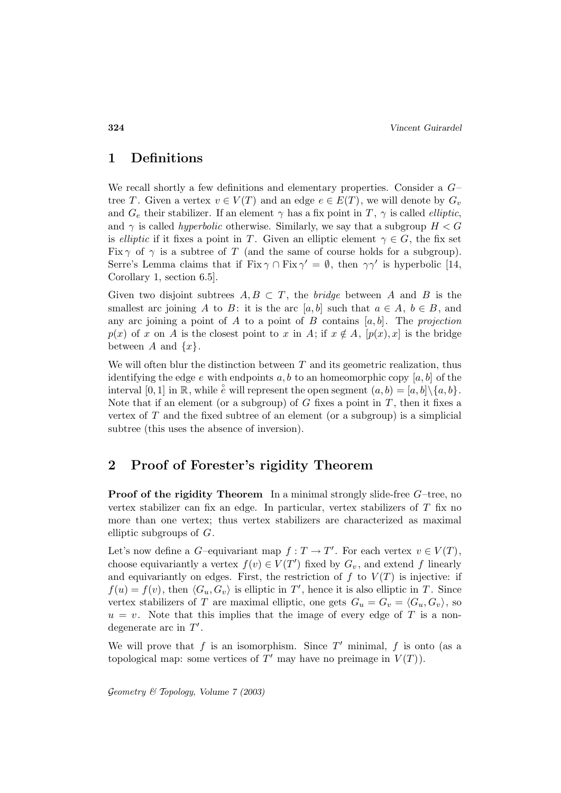### **1 Definitions**

We recall shortly a few definitions and elementary properties. Consider a  $G$ tree T. Given a vertex  $v \in V(T)$  and an edge  $e \in E(T)$ , we will denote by  $G_v$ and  $G_e$  their stabilizer. If an element  $\gamma$  has a fix point in T,  $\gamma$  is called *elliptic*, and  $\gamma$  is called *hyperbolic* otherwise. Similarly, we say that a subgroup  $H < G$ is elliptic if it fixes a point in T. Given an elliptic element  $\gamma \in G$ , the fix set Fix  $\gamma$  of  $\gamma$  is a subtree of T (and the same of course holds for a subgroup). Serre's Lemma claims that if Fix  $\gamma \cap \text{Fix } \gamma' = \emptyset$ , then  $\gamma \gamma'$  is hyperbolic [14, Corollary 1, section 6.5].

Given two disjoint subtrees  $A, B \subset T$ , the *bridge* between A and B is the smallest arc joining A to B: it is the arc [a, b] such that  $a \in A$ ,  $b \in B$ , and any arc joining a point of  $A$  to a point of  $B$  contains  $[a, b]$ . The projection  $p(x)$  of x on A is the closest point to x in A; if  $x \notin A$ ,  $[p(x), x]$  is the bridge between A and  $\{x\}$ .

We will often blur the distinction between  $T$  and its geometric realization, thus identifying the edge e with endpoints a, b to an homeomorphic copy  $[a, b]$  of the interval  $[0,1]$  in  $\mathbb{R}$ , while  $\overset{\circ}{e}$  will represent the open segment  $(a,b)=[a,b]\setminus\{a,b\}$ . Note that if an element (or a subgroup) of  $G$  fixes a point in  $T$ , then it fixes a vertex of  $T$  and the fixed subtree of an element (or a subgroup) is a simplicial subtree (this uses the absence of inversion).

### **2 Proof of Forester's rigidity Theorem**

**Proof of the rigidity Theorem** In a minimal strongly slide-free G–tree, no vertex stabilizer can fix an edge. In particular, vertex stabilizers of  $T$  fix no more than one vertex; thus vertex stabilizers are characterized as maximal elliptic subgroups of  $G$ .

Let's now define a *G*-equivariant map  $f: T \to T'$ . For each vertex  $v \in V(T)$ , choose equivariantly a vertex  $f(v) \in V(T')$  fixed by  $G_v$ , and extend f linearly and equivariantly on edges. First, the restriction of  $f$  to  $V(T)$  is injective: if  $f(u) = f(v)$ , then  $\langle G_u, G_v \rangle$  is elliptic in T', hence it is also elliptic in T. Since vertex stabilizers of T are maximal elliptic, one gets  $G_u = G_v = \langle G_u, G_v \rangle$ , so  $u = v$ . Note that this implies that the image of every edge of T is a nondegenerate arc in  $T'$ .

We will prove that f is an isomorphism. Since  $T'$  minimal, f is onto (as a topological map: some vertices of T' may have no preimage in  $V(T)$ ).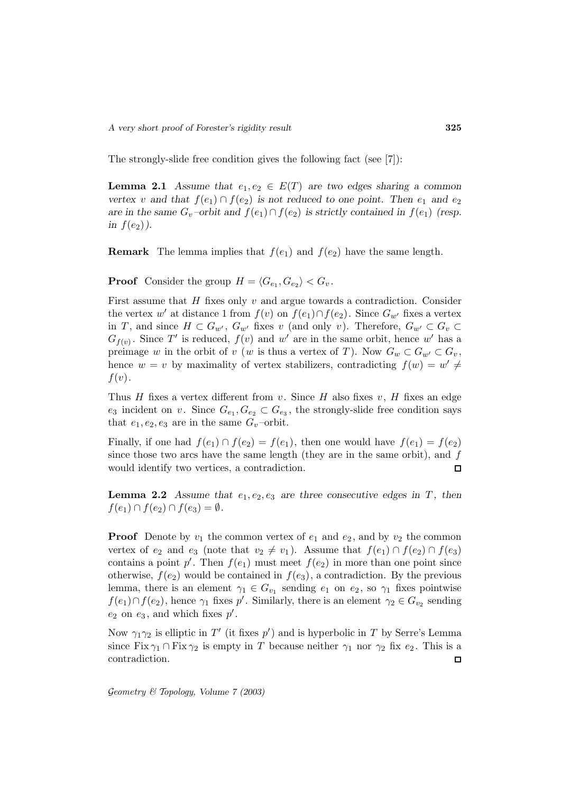The strongly-slide free condition gives the following fact (see [7]):

**Lemma 2.1** *Assume that*  $e_1, e_2 \in E(T)$  *are two edges sharing a common vertex* v and that  $f(e_1) \cap f(e_2)$  *is not reduced to one point. Then*  $e_1$  *and*  $e_2$ *are in the same*  $G_v$ -orbit and  $f(e_1) \cap f(e_2)$  *is strictly contained in*  $f(e_1)$  (resp. *in*  $f(e_2)$ .

**Remark** The lemma implies that  $f(e_1)$  and  $f(e_2)$  have the same length.

**Proof** Consider the group  $H = \langle G_{e_1}, G_{e_2} \rangle < G_v$ .

First assume that  $H$  fixes only  $v$  and argue towards a contradiction. Consider the vertex w' at distance 1 from  $f(v)$  on  $f(e_1) \cap f(e_2)$ . Since  $G_{w'}$  fixes a vertex in T, and since  $H \subset G_{w'}$ ,  $G_{w'}$  fixes v (and only v). Therefore,  $G_{w'} \subset G_v \subset$  $G_{f(v)}$ . Since T' is reduced,  $f(v)$  and w' are in the same orbit, hence w' has a preimage w in the orbit of v (w is thus a vertex of T). Now  $G_w \subset G_{w'} \subset G_v$ , hence  $w = v$  by maximality of vertex stabilizers, contradicting  $f(w) = w' \neq$  $f(v)$ .

Thus  $H$  fixes a vertex different from  $v$ . Since  $H$  also fixes  $v$ ,  $H$  fixes an edge  $e_3$  incident on v. Since  $G_{e_1}, G_{e_2} \subset G_{e_3}$ , the strongly-slide free condition says that  $e_1, e_2, e_3$  are in the same  $G_v$ -orbit.

Finally, if one had  $f(e_1) \cap f(e_2) = f(e_1)$ , then one would have  $f(e_1) = f(e_2)$ since those two arcs have the same length (they are in the same orbit), and  $f$ would identify two vertices, a contradiction.  $\Box$ 

**Lemma 2.2** Assume that  $e_1, e_2, e_3$  are three consecutive edges in  $T$ , then  $f(e_1) \cap f(e_2) \cap f(e_3) = \emptyset.$ 

**Proof** Denote by  $v_1$  the common vertex of  $e_1$  and  $e_2$ , and by  $v_2$  the common vertex of  $e_2$  and  $e_3$  (note that  $v_2 \neq v_1$ ). Assume that  $f(e_1) \cap f(e_2) \cap f(e_3)$ contains a point  $p'$ . Then  $f(e_1)$  must meet  $f(e_2)$  in more than one point since otherwise,  $f(e_2)$  would be contained in  $f(e_3)$ , a contradiction. By the previous lemma, there is an element  $\gamma_1 \in G_{v_1}$  sending  $e_1$  on  $e_2$ , so  $\gamma_1$  fixes pointwise  $f(e_1) \cap f(e_2)$ , hence  $\gamma_1$  fixes  $p'$ . Similarly, there is an element  $\gamma_2 \in G_{v_2}$  sending  $e_2$  on  $e_3$ , and which fixes  $p'$ .

Now  $\gamma_1 \gamma_2$  is elliptic in  $T'$  (it fixes  $p'$ ) and is hyperbolic in T by Serre's Lemma since Fix  $\gamma_1 \cap \text{Fix } \gamma_2$  is empty in T because neither  $\gamma_1$  nor  $\gamma_2$  fix  $e_2$ . This is a contradiction.  $\Box$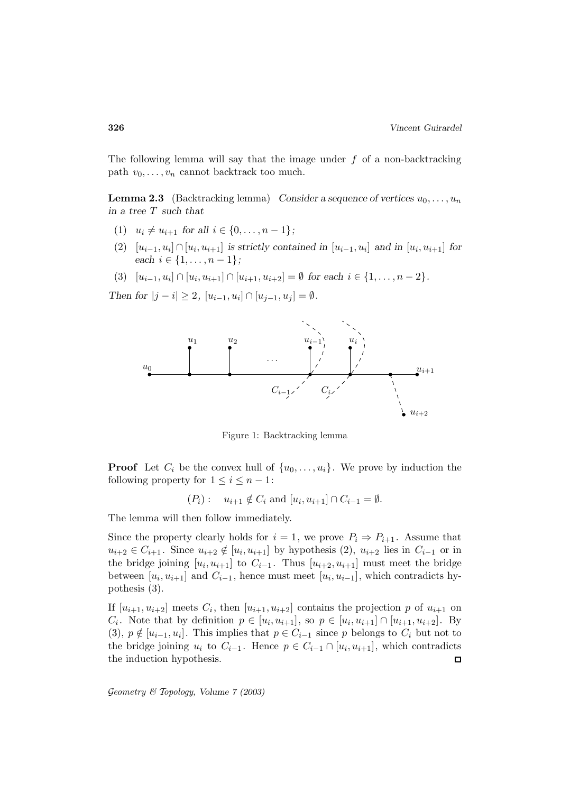The following lemma will say that the image under  $f$  of a non-backtracking path  $v_0, \ldots, v_n$  cannot backtrack too much.

**Lemma 2.3** (Backtracking lemma) *Consider a sequence of vertices*  $u_0, \ldots, u_n$ *in a tree* T *such that*

- (1)  $u_i \neq u_{i+1}$  for all  $i \in \{0, \ldots, n-1\}$ ;
- (2)  $[u_{i-1}, u_i] \cap [u_i, u_{i+1}]$  *is strictly contained in*  $[u_{i-1}, u_i]$  *and in*  $[u_i, u_{i+1}]$  *for each*  $i \in \{1, \ldots, n-1\}$ ;
- (3)  $[u_{i-1}, u_i] \cap [u_i, u_{i+1}] \cap [u_{i+1}, u_{i+2}] = \emptyset$  *for each*  $i \in \{1, ..., n-2\}$ *.*

*Then for*  $|j - i| \geq 2$ ,  $[u_{i-1}, u_i] \cap [u_{i-1}, u_i] = \emptyset$ .



Figure 1: Backtracking lemma

**Proof** Let  $C_i$  be the convex hull of  $\{u_0, \ldots, u_i\}$ . We prove by induction the following property for  $1 \leq i \leq n-1$ :

$$
(P_i):
$$
  $u_{i+1} \notin C_i$  and  $[u_i, u_{i+1}] \cap C_{i-1} = \emptyset$ .

The lemma will then follow immediately.

Since the property clearly holds for  $i = 1$ , we prove  $P_i \Rightarrow P_{i+1}$ . Assume that  $u_{i+2} \in C_{i+1}$ . Since  $u_{i+2} \notin [u_i, u_{i+1}]$  by hypothesis (2),  $u_{i+2}$  lies in  $C_{i-1}$  or in the bridge joining  $[u_i, u_{i+1}]$  to  $C_{i-1}$ . Thus  $[u_{i+2}, u_{i+1}]$  must meet the bridge between  $[u_i, u_{i+1}]$  and  $C_{i-1}$ , hence must meet  $[u_i, u_{i-1}]$ , which contradicts hypothesis (3).

If  $[u_{i+1}, u_{i+2}]$  meets  $C_i$ , then  $[u_{i+1}, u_{i+2}]$  contains the projection p of  $u_{i+1}$  on  $C_i$ . Note that by definition  $p \in [u_i, u_{i+1}]$ , so  $p \in [u_i, u_{i+1}] \cap [u_{i+1}, u_{i+2}]$ . By (3),  $p \notin [u_{i-1}, u_i]$ . This implies that  $p \in C_{i-1}$  since p belongs to  $C_i$  but not to the bridge joining  $u_i$  to  $C_{i-1}$ . Hence  $p \in C_{i-1} \cap [u_i, u_{i+1}]$ , which contradicts the induction hypothesis.  $\square$ the induction hypothesis.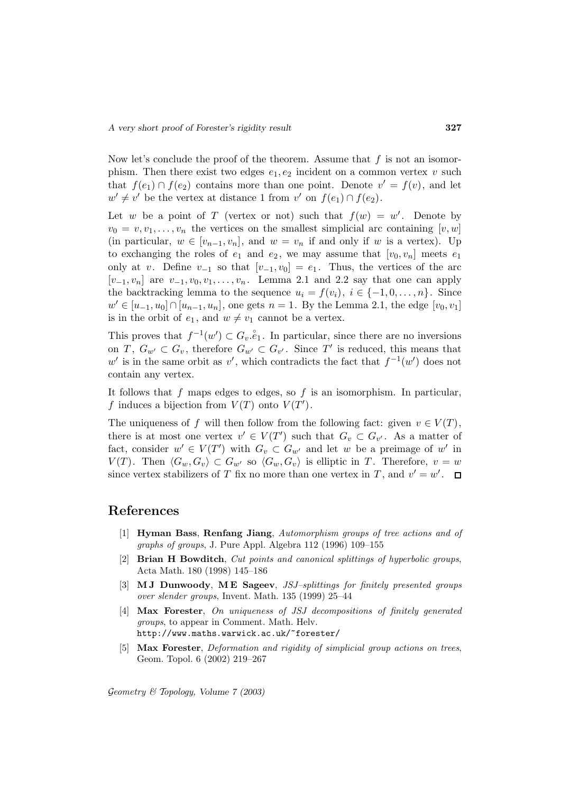Now let's conclude the proof of the theorem. Assume that  $f$  is not an isomorphism. Then there exist two edges  $e_1, e_2$  incident on a common vertex v such that  $f(e_1) \cap f(e_2)$  contains more than one point. Denote  $v' = f(v)$ , and let  $w' \neq v'$  be the vertex at distance 1 from v' on  $f(e_1) \cap f(e_2)$ .

Let w be a point of T (vertex or not) such that  $f(w) = w'$ . Denote by  $v_0 = v, v_1, \ldots, v_n$  the vertices on the smallest simplicial arc containing  $[v, w]$ (in particular,  $w \in [v_{n-1}, v_n]$ , and  $w = v_n$  if and only if w is a vertex). Up to exchanging the roles of  $e_1$  and  $e_2$ , we may assume that  $[v_0, v_n]$  meets  $e_1$ only at v. Define  $v_{-1}$  so that  $[v_{-1}, v_0] = e_1$ . Thus, the vertices of the arc  $[v_{-1}, v_n]$  are  $v_{-1}, v_0, v_1, \ldots, v_n$ . Lemma 2.1 and 2.2 say that one can apply the backtracking lemma to the sequence  $u_i = f(v_i), i \in \{-1, 0, \ldots, n\}$ . Since  $w' \in [u_{-1}, u_0] \cap [u_{n-1}, u_n]$ , one gets  $n = 1$ . By the Lemma 2.1, the edge  $[v_0, v_1]$ is in the orbit of  $e_1$ , and  $w \neq v_1$  cannot be a vertex.

This proves that  $f^{-1}(w') \subset G_v \hat{e}_1$ . In particular, since there are no inversions on T,  $G_{w'} \subset G_v$ , therefore  $G_{w'} \subset G_{v'}$ . Since T' is reduced, this means that w' is in the same orbit as v', which contradicts the fact that  $f^{-1}(w')$  does not contain any vertex.

It follows that f maps edges to edges, so f is an isomorphism. In particular, f induces a bijection from  $V(T)$  onto  $V(T')$ .

The uniqueness of f will then follow from the following fact: given  $v \in V(T)$ , there is at most one vertex  $v' \in V(T')$  such that  $G_v \subset G_{v'}$ . As a matter of fact, consider  $w' \in V(T')$  with  $G_v \subset G_{w'}$  and let w be a preimage of w' in  $V(T)$ . Then  $\langle G_w, G_v \rangle \subset G_{w'}$  so  $\langle G_w, G_v \rangle$  is elliptic in T. Therefore,  $v = w$ since vertex stabilizers of T fix no more than one vertex in T, and  $v' = w'$ .

## **References**

- [1] **Hyman Bass**, **Renfang Jiang**, Automorphism groups of tree actions and of graphs of groups, J. Pure Appl. Algebra 112 (1996) 109–155
- [2] **Brian H Bowditch**, Cut points and canonical splittings of hyperbolic groups, Acta Math. 180 (1998) 145–186
- [3] **M J Dunwoody**, **M E Sageev**, JSJ–splittings for finitely presented groups over slender groups, Invent. Math. 135 (1999) 25–44
- [4] **Max Forester**, On uniqueness of JSJ decompositions of finitely generated groups, to appear in Comment. Math. Helv. http://www.maths.warwick.ac.uk/~forester/
- [5] **Max Forester**, Deformation and rigidity of simplicial group actions on trees, Geom. Topol. 6 (2002) 219–267